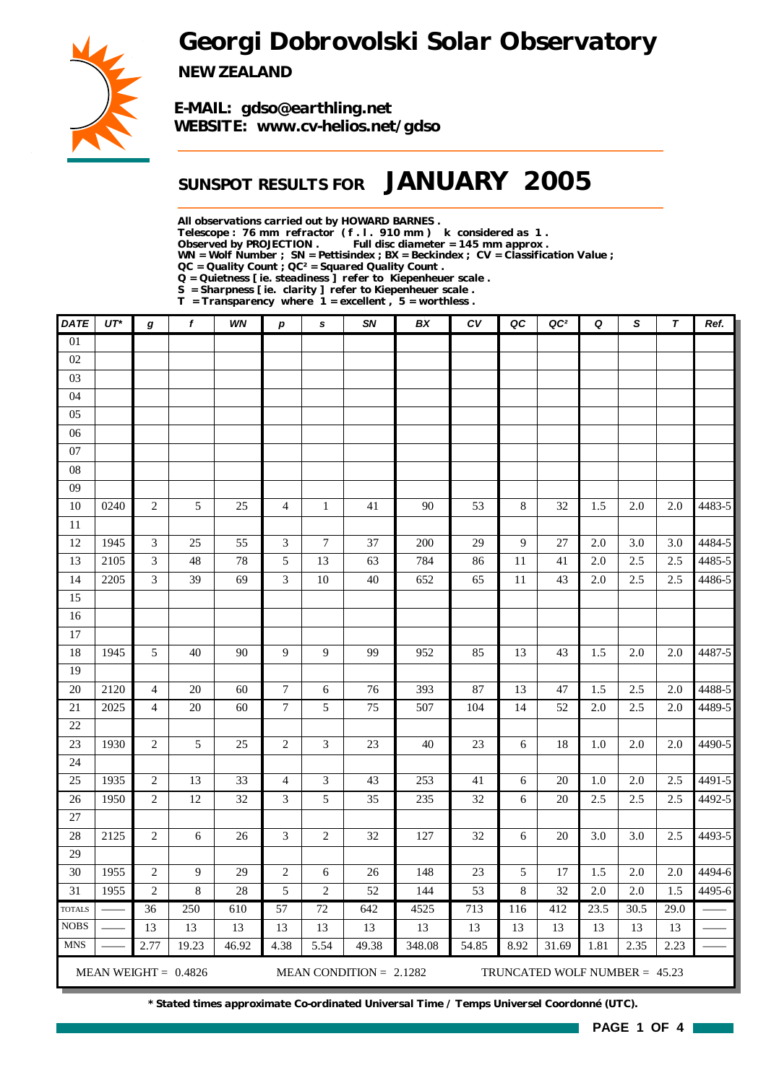*Georgi Dobrovolski Solar Observatory*



*NEW ZEALAND*

*E-MAIL: gdso@earthling.net WEBSITE: www.cv-helios.net/gdso*

### *SUNSPOT RESULTS FOR JANUARY 2005*

*All observations carried out by HOWARD BARNES .*

*Telescope : 76 mm refractor ( f . l . 910 mm ) k considered as 1 .*

Full disc diameter = 145 mm approx .

*WN = Wolf Number ; SN = Pettisindex ; BX = Beckindex ; CV = Classification Value ; QC = Quality Count ; QC² = Squared Quality Count .*

*Q = Quietness [ ie. steadiness ] refer to Kiepenheuer scale .*

*S = Sharpness [ ie. clarity ] refer to Kiepenheuer scale .*

*T = Transparency where 1 = excellent , 5 = worthless .*

| <b>DATE</b>                  | $UT^*$       | g                                  | f                      | WN        | p                        | s            | SN                        | BX         | CV        | QC           | QC <sup>2</sup>                 | Q          | S              | $\boldsymbol{\tau}$ | Ref.   |
|------------------------------|--------------|------------------------------------|------------------------|-----------|--------------------------|--------------|---------------------------|------------|-----------|--------------|---------------------------------|------------|----------------|---------------------|--------|
| $\overline{01}$              |              |                                    |                        |           |                          |              |                           |            |           |              |                                 |            |                |                     |        |
| 02                           |              |                                    |                        |           |                          |              |                           |            |           |              |                                 |            |                |                     |        |
| 03                           |              |                                    |                        |           |                          |              |                           |            |           |              |                                 |            |                |                     |        |
| 04                           |              |                                    |                        |           |                          |              |                           |            |           |              |                                 |            |                |                     |        |
| 05                           |              |                                    |                        |           |                          |              |                           |            |           |              |                                 |            |                |                     |        |
| 06                           |              |                                    |                        |           |                          |              |                           |            |           |              |                                 |            |                |                     |        |
| $07\,$                       |              |                                    |                        |           |                          |              |                           |            |           |              |                                 |            |                |                     |        |
| ${\bf 08}$                   |              |                                    |                        |           |                          |              |                           |            |           |              |                                 |            |                |                     |        |
| 09                           |              |                                    |                        |           |                          |              |                           |            |           |              |                                 |            |                |                     |        |
| 10                           | 0240         | $\sqrt{2}$                         | 5                      | 25        | $\overline{4}$           | $\mathbf{1}$ | 41                        | 90         | 53        | $\,8\,$      | 32                              | 1.5        | 2.0            | 2.0                 | 4483-5 |
| 11                           |              |                                    |                        |           |                          |              |                           |            |           |              |                                 |            |                |                     |        |
| 12                           | 1945         | 3                                  | 25                     | 55        | 3                        | 7            | 37                        | 200        | 29        | 9            | 27                              | 2.0        | 3.0            | 3.0                 | 4484-5 |
| 13                           | 2105         | 3                                  | $\sqrt{48}$            | $78\,$    | $\sqrt{5}$               | 13           | 63                        | 784        | 86        | 11           | 41                              | 2.0        | 2.5            | 2.5                 | 4485-5 |
| 14                           | 2205         | 3                                  | 39                     | 69        | 3                        | $10\,$       | $40\,$                    | 652        | 65        | 11           | 43                              | 2.0        | 2.5            | 2.5                 | 4486-5 |
| 15                           |              |                                    |                        |           |                          |              |                           |            |           |              |                                 |            |                |                     |        |
| 16                           |              |                                    |                        |           |                          |              |                           |            |           |              |                                 |            |                |                     |        |
| 17                           |              |                                    |                        |           |                          |              |                           |            |           |              |                                 |            |                |                     |        |
| 18                           | 1945         | 5                                  | 40                     | 90        | 9                        | 9            | 99                        | 952        | 85        | 13           | 43                              | 1.5        | 2.0            | 2.0                 | 4487-5 |
| 19                           |              |                                    |                        |           |                          |              |                           |            |           |              |                                 |            |                |                     |        |
| 20                           | 2120         | $\overline{4}$                     | $20\,$                 | 60        | $\boldsymbol{7}$         | 6            | 76                        | 393        | 87        | 13           | 47                              | 1.5        | 2.5            | 2.0                 | 4488-5 |
| $21\,$                       | 2025         | $\overline{4}$                     | 20                     | 60        | $\overline{7}$           | 5            | 75                        | 507        | 104       | 14           | 52                              | 2.0        | 2.5            | 2.0                 | 4489-5 |
| $22\,$                       |              |                                    |                        |           |                          |              |                           |            |           |              |                                 |            |                |                     |        |
| 23                           | 1930         | $\mathbf{2}$                       | 5                      | 25        | $\overline{2}$           | 3            | 23                        | 40         | 23        | 6            | 18                              | 1.0        | 2.0            | 2.0                 | 4490-5 |
| 24                           |              |                                    |                        |           |                          |              |                           |            |           |              |                                 |            |                |                     |        |
| 25                           | 1935         | $\sqrt{2}$                         | 13                     | 33        | $\overline{4}$           | 3            | 43                        | 253        | 41        | 6            | 20                              | 1.0        | 2.0            | 2.5                 | 4491-5 |
| 26                           | 1950         | $\sqrt{2}$                         | 12                     | 32        | $\mathfrak{Z}$           | 5            | 35                        | 235        | 32        | 6            | 20                              | 2.5        | 2.5            | 2.5                 | 4492-5 |
| 27                           |              |                                    |                        |           |                          |              |                           |            |           |              |                                 |            |                |                     |        |
| 28                           | 2125         | $\sqrt{2}$                         | 6                      | 26        | $\mathfrak{Z}$           | $\mathbf{2}$ | 32                        | 127        | 32        | 6            | 20                              | 3.0        | 3.0            | 2.5                 | 4493-5 |
| 29                           |              |                                    |                        |           |                          |              |                           |            |           |              |                                 |            |                |                     | 4494-6 |
| 30<br>$\overline{31}$        | 1955<br>1955 | $\overline{c}$<br>$\boldsymbol{2}$ | 9<br>$\,$ 8 $\,$       | 29        | $\sqrt{2}$<br>$\sqrt{5}$ | 6            | 26<br>52                  | 148<br>144 | 23        | 5<br>$\,8\,$ | 17                              | 1.5<br>2.0 | $2.0\,$<br>2.0 | 2.0<br>1.5          | 4495-6 |
|                              |              | 36                                 | 250                    | 28<br>610 | $\overline{57}$          | 2<br>72      | 642                       | 4525       | 53<br>713 | 116          | 32<br>412                       | 23.5       | 30.5           | 29.0                |        |
| <b>TOTALS</b><br><b>NOBS</b> |              | 13                                 | 13                     | 13        | 13                       | 13           | 13                        | 13         | 13        | 13           | 13                              | 13         | 13             | 13                  |        |
| <b>MNS</b>                   |              | 2.77                               | 19.23                  | 46.92     | 4.38                     | 5.54         | 49.38                     | 348.08     | 54.85     | 8.92         | 31.69                           | 1.81       | 2.35           | 2.23                |        |
|                              |              |                                    |                        |           |                          |              |                           |            |           |              |                                 |            |                |                     |        |
|                              |              |                                    | MEAN WEIGHT = $0.4826$ |           |                          |              | MEAN CONDITION = $2.1282$ |            |           |              | TRUNCATED WOLF NUMBER = $45.23$ |            |                |                     |        |

*\* Stated times approximate Co-ordinated Universal Time / Temps Universel Coordonné (UTC).*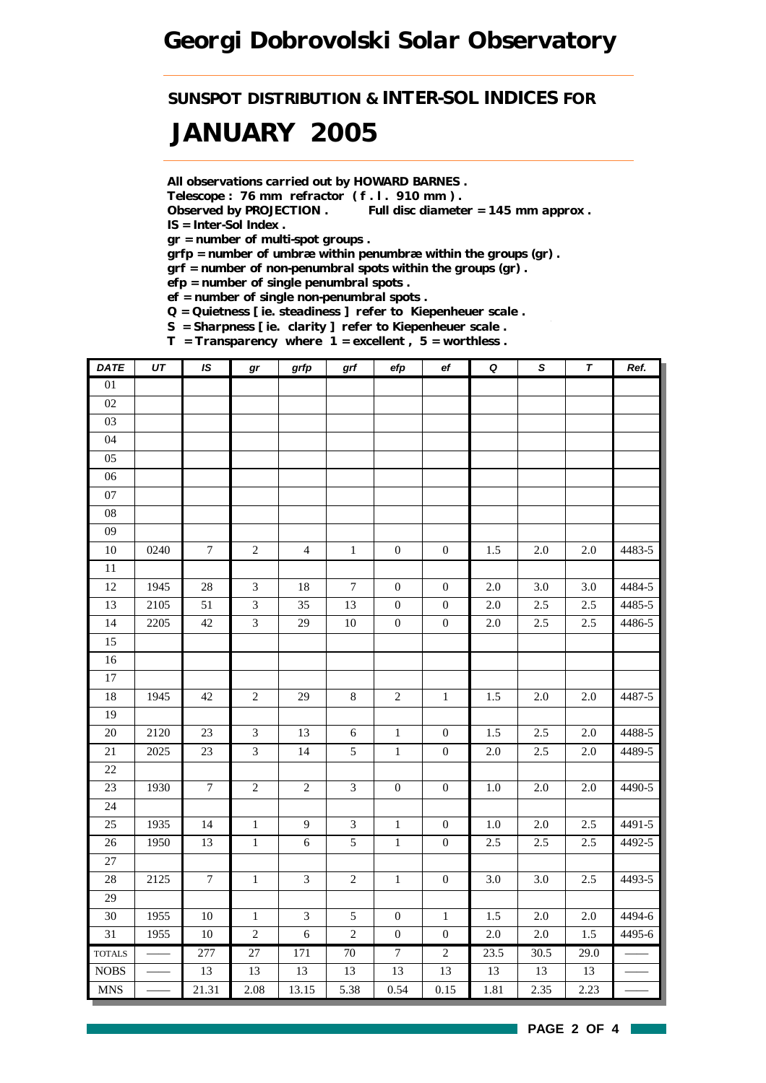*SUNSPOT DISTRIBUTION & INTER-SOL INDICES FOR*

## *JANUARY 2005*

*All observations carried out by HOWARD BARNES .*

*Telescope : 76 mm refractor ( f . l . 910 mm ) .*

*Observed by PROJECTION . Full disc diameter = 145 mm approx . IS = Inter-Sol Index .*

*gr = number of multi-spot groups .*

*grfp = number of umbræ within penumbræ within the groups (gr) .*

*grf = number of non-penumbral spots within the groups (gr) .*

*efp = number of single penumbral spots .*

*ef = number of single non-penumbral spots .*

*Q = Quietness [ ie. steadiness ] refer to Kiepenheuer scale .*

*S = Sharpness [ ie. clarity ] refer to Kiepenheuer scale . T = Transparency where 1 = excellent , 5 = worthless .*

| <b>DATE</b>                      | $\overline{UT}$ | IS               | $\bm{gr}$       | grfp                        | grf              | efp              | $_{\rm ef}$      | $\pmb Q$ | $\mathsf S$       | $\overline{\tau}$ | Ref.   |
|----------------------------------|-----------------|------------------|-----------------|-----------------------------|------------------|------------------|------------------|----------|-------------------|-------------------|--------|
| $01\,$                           |                 |                  |                 |                             |                  |                  |                  |          |                   |                   |        |
| $02\,$                           |                 |                  |                 |                             |                  |                  |                  |          |                   |                   |        |
| $03\,$                           |                 |                  |                 |                             |                  |                  |                  |          |                   |                   |        |
| 04                               |                 |                  |                 |                             |                  |                  |                  |          |                   |                   |        |
| $05\,$                           |                 |                  |                 |                             |                  |                  |                  |          |                   |                   |        |
| $06\,$                           |                 |                  |                 |                             |                  |                  |                  |          |                   |                   |        |
| $07\,$                           |                 |                  |                 |                             |                  |                  |                  |          |                   |                   |        |
| ${\bf 08}$                       |                 |                  |                 |                             |                  |                  |                  |          |                   |                   |        |
| $09\,$                           |                 |                  |                 |                             |                  |                  |                  |          |                   |                   |        |
| $10\,$                           | 0240            | $\tau$           | $\sqrt{2}$      | $\overline{4}$              | $\,1\,$          | $\boldsymbol{0}$ | $\boldsymbol{0}$ | 1.5      | $2.0\,$           | $2.0\,$           | 4483-5 |
| $\overline{11}$                  |                 |                  |                 |                             |                  |                  |                  |          |                   |                   |        |
| 12                               | 1945            | $28\,$           | $\mathfrak{Z}$  | $18\,$                      | $\boldsymbol{7}$ | $\boldsymbol{0}$ | $\boldsymbol{0}$ | 2.0      | 3.0               | 3.0               | 4484-5 |
| 13                               | 2105            | 51               | $\mathfrak{Z}$  | 35                          | 13               | $\boldsymbol{0}$ | $\boldsymbol{0}$ | $2.0\,$  | $2.5\,$           | $2.5\,$           | 4485-5 |
| 14                               | 2205            | $42\,$           | $\mathfrak{Z}$  | 29                          | $10\,$           | $\boldsymbol{0}$ | $\boldsymbol{0}$ | $2.0\,$  | $2.5\,$           | 2.5               | 4486-5 |
| 15                               |                 |                  |                 |                             |                  |                  |                  |          |                   |                   |        |
| 16                               |                 |                  |                 |                             |                  |                  |                  |          |                   |                   |        |
| $\overline{17}$                  |                 |                  |                 |                             |                  |                  |                  |          |                   |                   |        |
| 18                               | 1945            | 42               | $\sqrt{2}$      | 29                          | $\,8\,$          | $\sqrt{2}$       | $\,1\,$          | 1.5      | $2.0\,$           | $2.0\,$           | 4487-5 |
| 19                               |                 |                  |                 |                             |                  |                  |                  |          |                   |                   |        |
| 20                               | 2120            | 23               | $\mathfrak{Z}$  | 13                          | $\sqrt{6}$       | $\,1$            | $\boldsymbol{0}$ | $1.5\,$  | 2.5               | 2.0               | 4488-5 |
| $21\,$                           | 2025            | $23\,$           | $\mathfrak{Z}$  | 14                          | $5\,$            | $\,1\,$          | $\boldsymbol{0}$ | $2.0\,$  | $2.5\,$           | $2.0\,$           | 4489-5 |
| 22                               |                 |                  |                 |                             |                  |                  |                  |          |                   |                   |        |
| 23                               | 1930            | $\boldsymbol{7}$ | $\sqrt{2}$      | $\sqrt{2}$                  | $\mathfrak{Z}$   | $\boldsymbol{0}$ | $\boldsymbol{0}$ | 1.0      | 2.0               | $2.0\,$           | 4490-5 |
| $24\,$                           |                 |                  |                 |                             |                  |                  |                  |          |                   |                   |        |
| $25\,$                           | 1935            | 14               | $\,1\,$         | $\overline{9}$              | $\mathfrak{Z}$   | $\,1\,$          | $\boldsymbol{0}$ | $1.0\,$  | 2.0               | 2.5               | 4491-5 |
| $\overline{26}$                  | 1950            | $\overline{13}$  | $\overline{1}$  | $\sqrt{6}$                  | $\overline{5}$   | $\overline{1}$   | $\boldsymbol{0}$ | 2.5      | 2.5               | 2.5               | 4492-5 |
| 27                               |                 |                  |                 |                             |                  |                  |                  |          |                   |                   |        |
| 28                               | 2125            | $\boldsymbol{7}$ | $\,1\,$         | $\mathfrak{Z}$              | $\sqrt{2}$       | $\,1\,$          | $\boldsymbol{0}$ | 3.0      | 3.0               | 2.5               | 4493-5 |
| 29                               |                 |                  |                 |                             |                  |                  |                  |          |                   |                   |        |
| 30                               | 1955            | $10\,$           | $\mathbf{1}$    | $\ensuremath{\mathfrak{Z}}$ | $\sqrt{5}$       | $\boldsymbol{0}$ | $\mathbf 1$      | 1.5      | 2.0               | 2.0               | 4494-6 |
| 31                               | 1955            | $10\,$           | $\sqrt{2}$      | $\sqrt{6}$                  | $\sqrt{2}$       | $\boldsymbol{0}$ | $\boldsymbol{0}$ | $2.0\,$  | 2.0               | 1.5               | 4495-6 |
| <b>TOTALS</b>                    |                 | 277              | $\overline{27}$ | 171                         | 70               | $\overline{7}$   | $\overline{2}$   | 23.5     | $\overline{30.5}$ | $\overline{29.0}$ |        |
| $\rm{NOBS}$                      |                 | 13               | 13              | 13                          | 13               | 13               | 13               | 13       | 13                | 13                |        |
| $\mathbf{M}\mathbf{N}\mathbf{S}$ |                 | 21.31            | 2.08            | 13.15                       | 5.38             | 0.54             | 0.15             | 1.81     | 2.35              | 2.23              |        |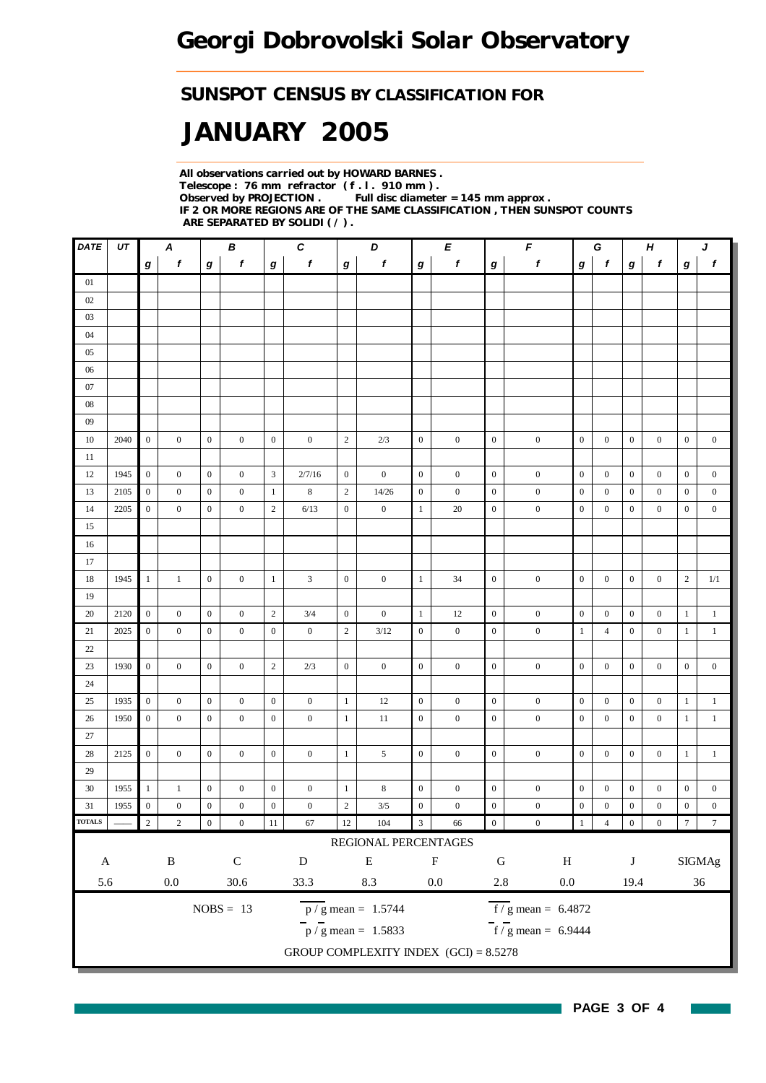### *SUNSPOT CENSUS BY CLASSIFICATION FOR*

# *JANUARY 2005*

*All observations carried out by HOWARD BARNES . Telescope : 76 mm refractor ( f . l . 910 mm ) . Full disc diameter = 145 mm approx . IF 2 OR MORE REGIONS ARE OF THE SAME CLASSIFICATION , THEN SUNSPOT COUNTS ARE SEPARATED BY SOLIDI ( / ) .*

| <b>DATE</b>         | UT   |                  | A                       | $\pmb{\mathit{F}}$<br>$\pmb{C}$<br>D<br>В<br>E<br>G |                       |                  |                   |                  | $\boldsymbol{H}$<br>J                         |                  |                        |                      |                                                |                  |                  |                  |                  |                     |                  |
|---------------------|------|------------------|-------------------------|-----------------------------------------------------|-----------------------|------------------|-------------------|------------------|-----------------------------------------------|------------------|------------------------|----------------------|------------------------------------------------|------------------|------------------|------------------|------------------|---------------------|------------------|
|                     |      | $\bm{g}$         | f                       | g                                                   | f                     | $\bm{g}$         | $\boldsymbol{f}$  | g                | f                                             | $\bm{g}$         | f                      | g                    | $\pmb{f}$                                      | g                | $\mathbf{f}$     | $\bm{g}$         | f                | g                   | $\pmb{f}$        |
| 01                  |      |                  |                         |                                                     |                       |                  |                   |                  |                                               |                  |                        |                      |                                                |                  |                  |                  |                  |                     |                  |
| 02                  |      |                  |                         |                                                     |                       |                  |                   |                  |                                               |                  |                        |                      |                                                |                  |                  |                  |                  |                     |                  |
| 03                  |      |                  |                         |                                                     |                       |                  |                   |                  |                                               |                  |                        |                      |                                                |                  |                  |                  |                  |                     |                  |
| 04                  |      |                  |                         |                                                     |                       |                  |                   |                  |                                               |                  |                        |                      |                                                |                  |                  |                  |                  |                     |                  |
| 05                  |      |                  |                         |                                                     |                       |                  |                   |                  |                                               |                  |                        |                      |                                                |                  |                  |                  |                  |                     |                  |
| 06                  |      |                  |                         |                                                     |                       |                  |                   |                  |                                               |                  |                        |                      |                                                |                  |                  |                  |                  |                     |                  |
| $07\,$              |      |                  |                         |                                                     |                       |                  |                   |                  |                                               |                  |                        |                      |                                                |                  |                  |                  |                  |                     |                  |
| $08\,$              |      |                  |                         |                                                     |                       |                  |                   |                  |                                               |                  |                        |                      |                                                |                  |                  |                  |                  |                     |                  |
| 09                  |      |                  |                         |                                                     |                       |                  |                   |                  |                                               |                  |                        |                      |                                                |                  |                  |                  |                  |                     |                  |
| 10                  | 2040 | $\boldsymbol{0}$ | $\overline{0}$          | $\mathbf{0}$                                        | $\overline{0}$        | $\boldsymbol{0}$ | $\boldsymbol{0}$  | $\sqrt{2}$       | 2/3                                           | $\mathbf{0}$     | $\boldsymbol{0}$       | $\boldsymbol{0}$     | $\boldsymbol{0}$                               | $\boldsymbol{0}$ | $\boldsymbol{0}$ | $\boldsymbol{0}$ | $\boldsymbol{0}$ | $\boldsymbol{0}$    | $\boldsymbol{0}$ |
| 11                  |      |                  |                         |                                                     |                       |                  |                   |                  |                                               |                  |                        |                      |                                                |                  |                  |                  |                  |                     |                  |
| 12                  | 1945 | $\mathbf{0}$     | $\boldsymbol{0}$        | $\boldsymbol{0}$                                    | $\boldsymbol{0}$      | $\mathfrak{Z}$   | 2/7/16            | $\boldsymbol{0}$ | $\boldsymbol{0}$                              | $\overline{0}$   | $\boldsymbol{0}$       | $\boldsymbol{0}$     | $\boldsymbol{0}$                               | $\overline{0}$   | $\overline{0}$   | $\boldsymbol{0}$ | $\boldsymbol{0}$ | $\boldsymbol{0}$    | $\boldsymbol{0}$ |
| 13                  | 2105 | $\mathbf{0}$     | $\boldsymbol{0}$        | $\boldsymbol{0}$                                    | $\mathbf{0}$          | $\mathbf{1}$     | 8                 | $\mathbf{2}$     | 14/26                                         | $\mathbf{0}$     | $\bf{0}$               | $\boldsymbol{0}$     | $\boldsymbol{0}$                               | $\boldsymbol{0}$ | $\boldsymbol{0}$ | $\boldsymbol{0}$ | $\boldsymbol{0}$ | $\boldsymbol{0}$    | $\boldsymbol{0}$ |
| 14                  | 2205 | $\boldsymbol{0}$ | $\mathbf{0}$            | $\boldsymbol{0}$                                    | $\boldsymbol{0}$      | $\sqrt{2}$       | 6/13              | $\boldsymbol{0}$ | $\boldsymbol{0}$                              | $\mathbf{1}$     | 20                     | $\boldsymbol{0}$     | $\boldsymbol{0}$                               | $\boldsymbol{0}$ | $\mathbf{0}$     | $\boldsymbol{0}$ | $\boldsymbol{0}$ | $\boldsymbol{0}$    | $\mathbf{0}$     |
| 15                  |      |                  |                         |                                                     |                       |                  |                   |                  |                                               |                  |                        |                      |                                                |                  |                  |                  |                  |                     |                  |
| 16                  |      |                  |                         |                                                     |                       |                  |                   |                  |                                               |                  |                        |                      |                                                |                  |                  |                  |                  |                     |                  |
| 17                  |      |                  |                         |                                                     |                       |                  |                   |                  |                                               |                  |                        |                      |                                                |                  |                  |                  |                  |                     |                  |
| 18                  | 1945 | $\mathbf{1}$     | $\mathbf{1}$            | $\boldsymbol{0}$                                    | $\boldsymbol{0}$      | $\mathbf{1}$     | 3                 | $\overline{0}$   | $\boldsymbol{0}$                              | $\mathbf{1}$     | 34                     | $\boldsymbol{0}$     | $\boldsymbol{0}$                               | $\mathbf{0}$     | $\boldsymbol{0}$ | $\boldsymbol{0}$ | $\boldsymbol{0}$ | $\sqrt{2}$          | 1/1              |
| 19                  |      |                  |                         |                                                     |                       |                  |                   |                  |                                               |                  |                        |                      |                                                |                  |                  |                  |                  |                     |                  |
| 20                  | 2120 | $\overline{0}$   | $\boldsymbol{0}$        | $\mathbf{0}$                                        | $\boldsymbol{0}$      | $\overline{c}$   | 3/4               | $\boldsymbol{0}$ | $\boldsymbol{0}$                              | $\mathbf{1}$     | 12                     | $\boldsymbol{0}$     | $\boldsymbol{0}$                               | $\boldsymbol{0}$ | $\overline{0}$   | $\boldsymbol{0}$ | $\boldsymbol{0}$ | $\mathbf{1}$        | $\mathbf{1}$     |
| 21                  | 2025 | $\mathbf{0}$     | $\mathbf{0}$            | $\boldsymbol{0}$                                    | $\mathbf{0}$          | $\boldsymbol{0}$ | $\overline{0}$    | $\overline{c}$   | 3/12                                          | $\boldsymbol{0}$ | $\mathbf{0}$           | $\mathbf{0}$         | $\boldsymbol{0}$                               | $\mathbf{1}$     | $\overline{4}$   | $\boldsymbol{0}$ | $\mathbf{0}$     | $\mathbf{1}$        | $\mathbf{1}$     |
| $22\,$              |      |                  |                         |                                                     |                       |                  |                   |                  |                                               |                  |                        |                      |                                                |                  |                  |                  |                  |                     |                  |
| 23                  | 1930 | $\mathbf{0}$     | $\boldsymbol{0}$        | $\boldsymbol{0}$                                    | $\boldsymbol{0}$      | $\sqrt{2}$       | 2/3               | $\boldsymbol{0}$ | $\boldsymbol{0}$                              | $\boldsymbol{0}$ | $\boldsymbol{0}$       | $\boldsymbol{0}$     | $\boldsymbol{0}$                               | $\boldsymbol{0}$ | $\boldsymbol{0}$ | $\boldsymbol{0}$ | $\boldsymbol{0}$ | $\mathbf{0}$        | $\boldsymbol{0}$ |
| 24                  |      |                  |                         |                                                     |                       |                  |                   |                  |                                               |                  |                        |                      |                                                |                  |                  |                  |                  |                     |                  |
| 25                  | 1935 | $\overline{0}$   | $\boldsymbol{0}$        | $\mathbf{0}$                                        | $\overline{0}$        | $\mathbf{0}$     | $\boldsymbol{0}$  | $\mathbf{1}$     | 12                                            | $\overline{0}$   | $\boldsymbol{0}$       | $\boldsymbol{0}$     | $\boldsymbol{0}$                               | $\boldsymbol{0}$ | $\mathbf{0}$     | $\boldsymbol{0}$ | $\boldsymbol{0}$ | $\mathbf{1}$        | $\mathbf{1}$     |
| 26                  | 1950 | $\mathbf{0}$     | $\mathbf{0}$            | $\boldsymbol{0}$                                    | $\boldsymbol{0}$      | $\boldsymbol{0}$ | $\boldsymbol{0}$  | $1\,$            | 11                                            | $\boldsymbol{0}$ | $\boldsymbol{0}$       | $\boldsymbol{0}$     | $\boldsymbol{0}$                               | $\boldsymbol{0}$ | $\boldsymbol{0}$ | $\boldsymbol{0}$ | $\boldsymbol{0}$ | $\mathbf{1}$        | $\mathbf{1}$     |
| 27                  |      |                  |                         |                                                     |                       |                  |                   |                  |                                               |                  |                        |                      |                                                |                  |                  |                  |                  |                     |                  |
| 28                  | 2125 | $\boldsymbol{0}$ | $\overline{0}$          | $\mathbf{0}$                                        | $\mathbf{0}$          | $\boldsymbol{0}$ | $\overline{0}$    | $\mathbf{1}$     | 5                                             | $\overline{0}$   | $\boldsymbol{0}$       | $\boldsymbol{0}$     | $\boldsymbol{0}$                               | $\overline{0}$   | $\boldsymbol{0}$ | $\boldsymbol{0}$ | $\mathbf{0}$     | $\mathbf{1}$        | $\mathbf{1}$     |
| 29                  |      |                  |                         |                                                     |                       |                  |                   |                  |                                               |                  |                        |                      |                                                |                  |                  |                  |                  |                     |                  |
| 30                  | 1955 | -1               | $\mathbf{1}$            | $\boldsymbol{0}$                                    | $\boldsymbol{0}$      | $\boldsymbol{0}$ | $\boldsymbol{0}$  | $\mathbf{1}$     | 8                                             | $\boldsymbol{0}$ | $\boldsymbol{0}$       | $\boldsymbol{0}$     | $\boldsymbol{0}$                               | $\boldsymbol{0}$ | $\boldsymbol{0}$ | $\boldsymbol{0}$ | $\boldsymbol{0}$ | $\boldsymbol{0}$    | $\boldsymbol{0}$ |
| 31                  | 1955 | $\boldsymbol{0}$ | $\boldsymbol{0}$        | $\boldsymbol{0}$                                    | $\boldsymbol{0}$      | $\boldsymbol{0}$ | $\boldsymbol{0}$  | $\overline{c}$   | 3/5                                           | $\boldsymbol{0}$ | $\boldsymbol{0}$       | $\boldsymbol{0}$     | $\boldsymbol{0}$                               | $\boldsymbol{0}$ | $\boldsymbol{0}$ | $\boldsymbol{0}$ | $\boldsymbol{0}$ | $\boldsymbol{0}$    | $\boldsymbol{0}$ |
| <b>TOTALS</b>       |      | $\overline{2}$   | $\sqrt{2}$              | $\boldsymbol{0}$                                    | $\boldsymbol{0}$      | $11\,$           | 67                | $12\,$           | 104                                           | $\mathfrak{Z}$   | 66                     | $\boldsymbol{0}$     | $\boldsymbol{0}$                               | $1\,$            | $\overline{4}$   | $\boldsymbol{0}$ | $\boldsymbol{0}$ | $\boldsymbol{\tau}$ | $\boldsymbol{7}$ |
|                     |      |                  |                         |                                                     |                       |                  |                   |                  | REGIONAL PERCENTAGES                          |                  |                        |                      |                                                |                  |                  |                  |                  |                     |                  |
|                     |      |                  |                         |                                                     |                       |                  |                   |                  |                                               |                  |                        |                      |                                                |                  |                  |                  |                  |                     | <b>SIGMAg</b>    |
|                     |      |                  |                         |                                                     |                       |                  |                   |                  |                                               |                  |                        |                      |                                                |                  |                  |                  |                  |                     |                  |
|                     |      |                  |                         |                                                     |                       |                  |                   |                  |                                               |                  |                        |                      |                                                |                  |                  |                  |                  |                     |                  |
|                     |      |                  |                         |                                                     | $NOBS = 13$           |                  |                   |                  | $p / g$ mean = 1.5744                         |                  |                        |                      | $\overline{f}/\overline{g}$ mean = 6.4872      |                  |                  |                  |                  |                     |                  |
|                     |      |                  |                         |                                                     |                       |                  |                   |                  |                                               |                  |                        |                      |                                                |                  |                  |                  |                  |                     |                  |
|                     |      |                  |                         |                                                     |                       |                  |                   |                  | GROUP COMPLEXITY INDEX $(GCI) = 8.5278$       |                  |                        |                      |                                                |                  |                  |                  |                  |                     |                  |
| $\mathbf{A}$<br>5.6 |      |                  | $\, {\bf B}$<br>$0.0\,$ |                                                     | ${\bf C}$<br>$30.6\,$ |                  | ${\bf D}$<br>33.3 |                  | ${\bf E}$<br>$8.3\,$<br>$p / g$ mean = 1.5833 |                  | $\mathbf F$<br>$0.0\,$ | ${\bf G}$<br>$2.8\,$ | $\, {\rm H}$<br>$0.0\,$<br>$f/g$ mean = 6.9444 |                  |                  | $\bf J$<br>19.4  |                  |                     | $36\,$           |